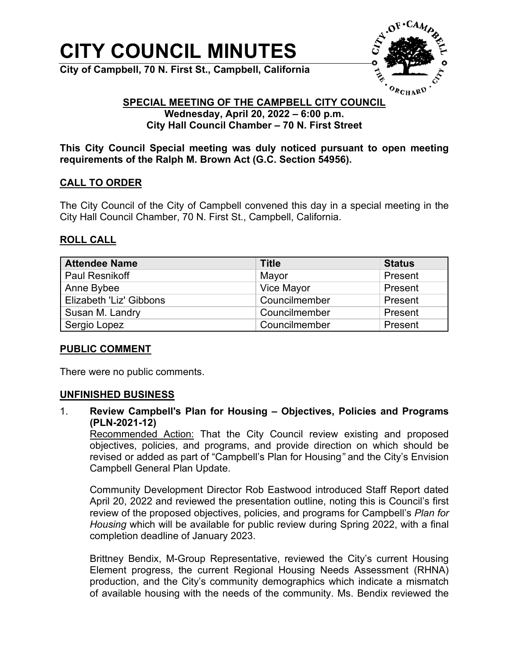# **CITY COUNCIL MINUTES**

**City of Campbell, 70 N. First St., Campbell, California**



#### **SPECIAL MEETING OF THE CAMPBELL CITY COUNCIL Wednesday, April 20, 2022 – 6:00 p.m. City Hall Council Chamber – 70 N. First Street**

**This City Council Special meeting was duly noticed pursuant to open meeting requirements of the Ralph M. Brown Act (G.C. Section 54956).**

### **CALL TO ORDER**

The City Council of the City of Campbell convened this day in a special meeting in the City Hall Council Chamber, 70 N. First St., Campbell, California.

### **ROLL CALL**

| <b>Attendee Name</b>    | <b>Title</b>  | <b>Status</b> |
|-------------------------|---------------|---------------|
| <b>Paul Resnikoff</b>   | Mayor         | Present       |
| Anne Bybee              | Vice Mayor    | Present       |
| Elizabeth 'Liz' Gibbons | Councilmember | Present       |
| Susan M. Landry         | Councilmember | Present       |
| Sergio Lopez            | Councilmember | Present       |

#### **PUBLIC COMMENT**

There were no public comments.

#### **UNFINISHED BUSINESS**

1. **Review Campbell's Plan for Housing – Objectives, Policies and Programs (PLN-2021-12)**

Recommended Action: That the City Council review existing and proposed objectives, policies, and programs, and provide direction on which should be revised or added as part of "Campbell's Plan for Housing*"* and the City's Envision Campbell General Plan Update.

Community Development Director Rob Eastwood introduced Staff Report dated April 20, 2022 and reviewed the presentation outline, noting this is Council's first review of the proposed objectives, policies, and programs for Campbell's *Plan for Housing* which will be available for public review during Spring 2022, with a final completion deadline of January 2023.

Brittney Bendix, M-Group Representative, reviewed the City's current Housing Element progress, the current Regional Housing Needs Assessment (RHNA) production, and the City's community demographics which indicate a mismatch of available housing with the needs of the community. Ms. Bendix reviewed the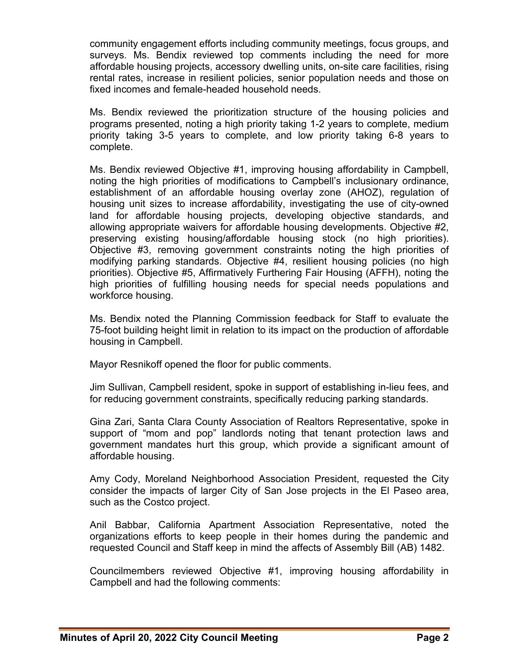community engagement efforts including community meetings, focus groups, and surveys. Ms. Bendix reviewed top comments including the need for more affordable housing projects, accessory dwelling units, on-site care facilities, rising rental rates, increase in resilient policies, senior population needs and those on fixed incomes and female-headed household needs.

Ms. Bendix reviewed the prioritization structure of the housing policies and programs presented, noting a high priority taking 1-2 years to complete, medium priority taking 3-5 years to complete, and low priority taking 6-8 years to complete.

Ms. Bendix reviewed Objective #1, improving housing affordability in Campbell, noting the high priorities of modifications to Campbell's inclusionary ordinance, establishment of an affordable housing overlay zone (AHOZ), regulation of housing unit sizes to increase affordability, investigating the use of city-owned land for affordable housing projects, developing objective standards, and allowing appropriate waivers for affordable housing developments. Objective #2, preserving existing housing/affordable housing stock (no high priorities). Objective #3, removing government constraints noting the high priorities of modifying parking standards. Objective #4, resilient housing policies (no high priorities). Objective #5, Affirmatively Furthering Fair Housing (AFFH), noting the high priorities of fulfilling housing needs for special needs populations and workforce housing.

Ms. Bendix noted the Planning Commission feedback for Staff to evaluate the 75-foot building height limit in relation to its impact on the production of affordable housing in Campbell.

Mayor Resnikoff opened the floor for public comments.

Jim Sullivan, Campbell resident, spoke in support of establishing in-lieu fees, and for reducing government constraints, specifically reducing parking standards.

Gina Zari, Santa Clara County Association of Realtors Representative, spoke in support of "mom and pop" landlords noting that tenant protection laws and government mandates hurt this group, which provide a significant amount of affordable housing.

Amy Cody, Moreland Neighborhood Association President, requested the City consider the impacts of larger City of San Jose projects in the El Paseo area, such as the Costco project.

Anil Babbar, California Apartment Association Representative, noted the organizations efforts to keep people in their homes during the pandemic and requested Council and Staff keep in mind the affects of Assembly Bill (AB) 1482.

Councilmembers reviewed Objective #1, improving housing affordability in Campbell and had the following comments: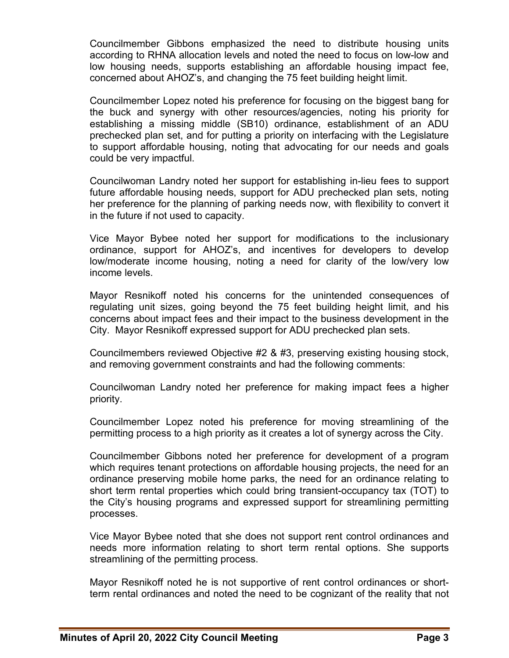Councilmember Gibbons emphasized the need to distribute housing units according to RHNA allocation levels and noted the need to focus on low-low and low housing needs, supports establishing an affordable housing impact fee, concerned about AHOZ's, and changing the 75 feet building height limit.

Councilmember Lopez noted his preference for focusing on the biggest bang for the buck and synergy with other resources/agencies, noting his priority for establishing a missing middle (SB10) ordinance, establishment of an ADU prechecked plan set, and for putting a priority on interfacing with the Legislature to support affordable housing, noting that advocating for our needs and goals could be very impactful.

Councilwoman Landry noted her support for establishing in-lieu fees to support future affordable housing needs, support for ADU prechecked plan sets, noting her preference for the planning of parking needs now, with flexibility to convert it in the future if not used to capacity.

Vice Mayor Bybee noted her support for modifications to the inclusionary ordinance, support for AHOZ's, and incentives for developers to develop low/moderate income housing, noting a need for clarity of the low/very low income levels.

Mayor Resnikoff noted his concerns for the unintended consequences of regulating unit sizes, going beyond the 75 feet building height limit, and his concerns about impact fees and their impact to the business development in the City. Mayor Resnikoff expressed support for ADU prechecked plan sets.

Councilmembers reviewed Objective #2 & #3, preserving existing housing stock, and removing government constraints and had the following comments:

Councilwoman Landry noted her preference for making impact fees a higher priority.

Councilmember Lopez noted his preference for moving streamlining of the permitting process to a high priority as it creates a lot of synergy across the City.

Councilmember Gibbons noted her preference for development of a program which requires tenant protections on affordable housing projects, the need for an ordinance preserving mobile home parks, the need for an ordinance relating to short term rental properties which could bring transient-occupancy tax (TOT) to the City's housing programs and expressed support for streamlining permitting processes.

Vice Mayor Bybee noted that she does not support rent control ordinances and needs more information relating to short term rental options. She supports streamlining of the permitting process.

Mayor Resnikoff noted he is not supportive of rent control ordinances or shortterm rental ordinances and noted the need to be cognizant of the reality that not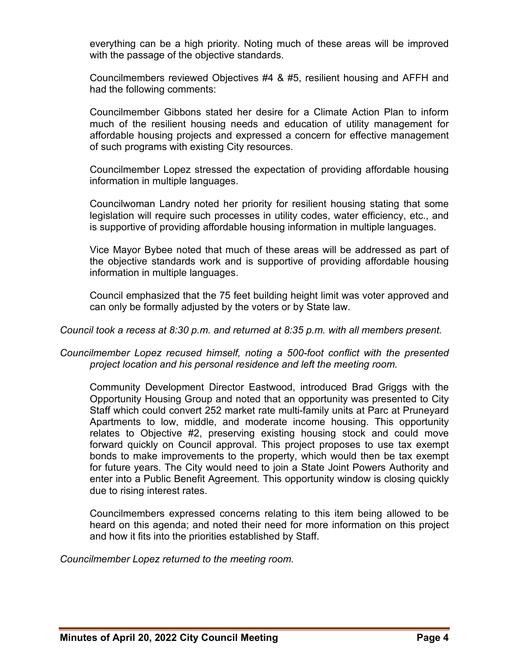everything can be a high priority. Noting much of these areas will be improved with the passage of the objective standards.

Councilmembers reviewed Objectives #4 & #5, resilient housing and AFFH and had the following comments:

Councilmember Gibbons stated her desire for a Climate Action Plan to inform much of the resilient housing needs and education of utility management for affordable housing projects and expressed a concern for effective management of such programs with existing City resources.

Councilmember Lopez stressed the expectation of providing affordable housing information in multiple languages.

Councilwoman Landry noted her priority for resilient housing stating that some legislation will require such processes in utility codes, water efficiency, etc., and is supportive of providing affordable housing information in multiple languages.

Vice Mayor Bybee noted that much of these areas will be addressed as part of the objective standards work and is supportive of providing affordable housing information in multiple languages.

Council emphasized that the 75 feet building height limit was voter approved and can only be formally adjusted by the voters or by State law.

#### *Council took a recess at 8:30 p.m. and returned at 8:35 p.m. with all members present.*

*Councilmember Lopez recused himself, noting a 500-foot conflict with the presented project location and his personal residence and left the meeting room.*

Community Development Director Eastwood, introduced Brad Griggs with the Opportunity Housing Group and noted that an opportunity was presented to City Staff which could convert 252 market rate multi-family units at Parc at Pruneyard Apartments to low, middle, and moderate income housing. This opportunity relates to Objective #2, preserving existing housing stock and could move forward quickly on Council approval. This project proposes to use tax exempt bonds to make improvements to the property, which would then be tax exempt for future years. The City would need to join a State Joint Powers Authority and enter into a Public Benefit Agreement. This opportunity window is closing quickly due to rising interest rates.

Councilmembers expressed concerns relating to this item being allowed to be heard on this agenda; and noted their need for more information on this project and how it fits into the priorities established by Staff.

*Councilmember Lopez returned to the meeting room.*